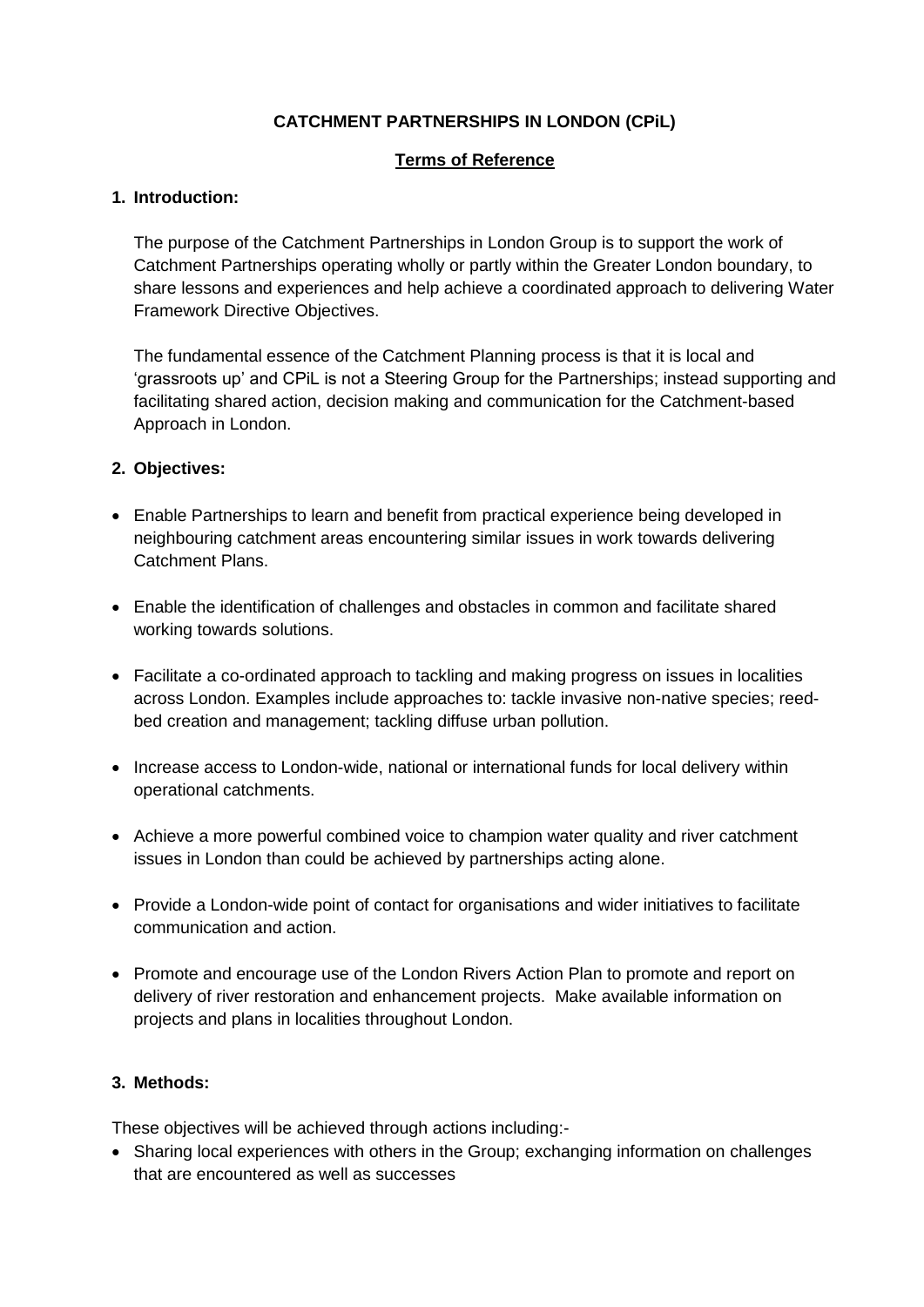# **CATCHMENT PARTNERSHIPS IN LONDON (CPiL)**

## **Terms of Reference**

## **1. Introduction:**

The purpose of the Catchment Partnerships in London Group is to support the work of Catchment Partnerships operating wholly or partly within the Greater London boundary, to share lessons and experiences and help achieve a coordinated approach to delivering Water Framework Directive Objectives.

The fundamental essence of the Catchment Planning process is that it is local and 'grassroots up' and CPiL is not a Steering Group for the Partnerships; instead supporting and facilitating shared action, decision making and communication for the Catchment-based Approach in London.

## **2. Objectives:**

- Enable Partnerships to learn and benefit from practical experience being developed in neighbouring catchment areas encountering similar issues in work towards delivering Catchment Plans.
- Enable the identification of challenges and obstacles in common and facilitate shared working towards solutions.
- Facilitate a co-ordinated approach to tackling and making progress on issues in localities across London. Examples include approaches to: tackle invasive non-native species; reedbed creation and management; tackling diffuse urban pollution.
- Increase access to London-wide, national or international funds for local delivery within operational catchments.
- Achieve a more powerful combined voice to champion water quality and river catchment issues in London than could be achieved by partnerships acting alone.
- Provide a London-wide point of contact for organisations and wider initiatives to facilitate communication and action.
- Promote and encourage use of the London Rivers Action Plan to promote and report on delivery of river restoration and enhancement projects. Make available information on projects and plans in localities throughout London.

#### **3. Methods:**

These objectives will be achieved through actions including:-

• Sharing local experiences with others in the Group; exchanging information on challenges that are encountered as well as successes